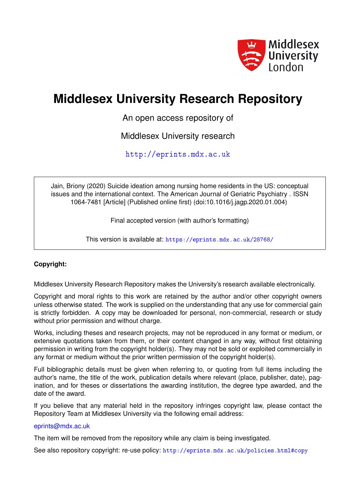

## **Middlesex University Research Repository**

An open access repository of

Middlesex University research

<http://eprints.mdx.ac.uk>

Jain, Briony (2020) Suicide ideation among nursing home residents in the US: conceptual issues and the international context. The American Journal of Geriatric Psychiatry . ISSN 1064-7481 [Article] (Published online first) (doi:10.1016/j.jagp.2020.01.004)

Final accepted version (with author's formatting)

This version is available at: <https://eprints.mdx.ac.uk/28768/>

## **Copyright:**

Middlesex University Research Repository makes the University's research available electronically.

Copyright and moral rights to this work are retained by the author and/or other copyright owners unless otherwise stated. The work is supplied on the understanding that any use for commercial gain is strictly forbidden. A copy may be downloaded for personal, non-commercial, research or study without prior permission and without charge.

Works, including theses and research projects, may not be reproduced in any format or medium, or extensive quotations taken from them, or their content changed in any way, without first obtaining permission in writing from the copyright holder(s). They may not be sold or exploited commercially in any format or medium without the prior written permission of the copyright holder(s).

Full bibliographic details must be given when referring to, or quoting from full items including the author's name, the title of the work, publication details where relevant (place, publisher, date), pagination, and for theses or dissertations the awarding institution, the degree type awarded, and the date of the award.

If you believe that any material held in the repository infringes copyright law, please contact the Repository Team at Middlesex University via the following email address:

## [eprints@mdx.ac.uk](mailto:eprints@mdx.ac.uk)

The item will be removed from the repository while any claim is being investigated.

See also repository copyright: re-use policy: <http://eprints.mdx.ac.uk/policies.html#copy>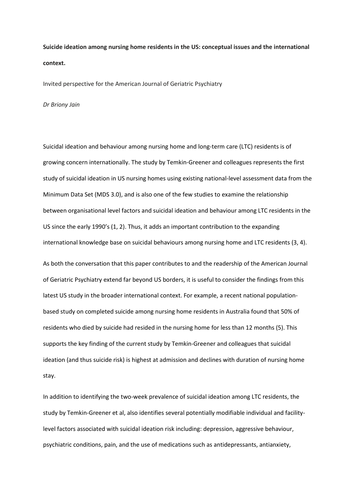**Suicide ideation among nursing home residents in the US: conceptual issues and the international context.**

Invited perspective for the American Journal of Geriatric Psychiatry

*Dr Briony Jain*

Suicidal ideation and behaviour among nursing home and long-term care (LTC) residents is of growing concern internationally. The study by Temkin-Greener and colleagues represents the first study of suicidal ideation in US nursing homes using existing national-level assessment data from the Minimum Data Set (MDS 3.0), and is also one of the few studies to examine the relationship between organisational level factors and suicidal ideation and behaviour among LTC residents in the US since the early 1990's (1, 2). Thus, it adds an important contribution to the expanding international knowledge base on suicidal behaviours among nursing home and LTC residents (3, 4).

As both the conversation that this paper contributes to and the readership of the American Journal of Geriatric Psychiatry extend far beyond US borders, it is useful to consider the findings from this latest US study in the broader international context. For example, a recent national populationbased study on completed suicide among nursing home residents in Australia found that 50% of residents who died by suicide had resided in the nursing home for less than 12 months (5). This supports the key finding of the current study by Temkin-Greener and colleagues that suicidal ideation (and thus suicide risk) is highest at admission and declines with duration of nursing home stay.

In addition to identifying the two-week prevalence of suicidal ideation among LTC residents, the study by Temkin-Greener et al, also identifies several potentially modifiable individual and facilitylevel factors associated with suicidal ideation risk including: depression, aggressive behaviour, psychiatric conditions, pain, and the use of medications such as antidepressants, antianxiety,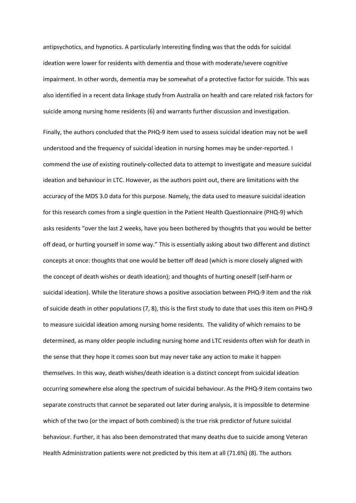antipsychotics, and hypnotics. A particularly interesting finding was that the odds for suicidal ideation were lower for residents with dementia and those with moderate/severe cognitive impairment. In other words, dementia may be somewhat of a protective factor for suicide. This was also identified in a recent data linkage study from Australia on health and care related risk factors for suicide among nursing home residents (6) and warrants further discussion and investigation.

Finally, the authors concluded that the PHQ-9 item used to assess suicidal ideation may not be well understood and the frequency of suicidal ideation in nursing homes may be under-reported. I commend the use of existing routinely-collected data to attempt to investigate and measure suicidal ideation and behaviour in LTC. However, as the authors point out, there are limitations with the accuracy of the MDS 3.0 data for this purpose. Namely, the data used to measure suicidal ideation for this research comes from a single question in the Patient Health Questionnaire (PHQ-9) which asks residents "over the last 2 weeks, have you been bothered by thoughts that you would be better off dead, or hurting yourself in some way." This is essentially asking about two different and distinct concepts at once: thoughts that one would be better off dead (which is more closely aligned with the concept of death wishes or death ideation); and thoughts of hurting oneself (self-harm or suicidal ideation). While the literature shows a positive association between PHQ-9 item and the risk of suicide death in other populations (7, 8), this is the first study to date that uses this item on PHQ-9 to measure suicidal ideation among nursing home residents. The validity of which remains to be determined, as many older people including nursing home and LTC residents often wish for death in the sense that they hope it comes soon but may never take any action to make it happen themselves. In this way, death wishes/death ideation is a distinct concept from suicidal ideation occurring somewhere else along the spectrum of suicidal behaviour. As the PHQ-9 item contains two separate constructs that cannot be separated out later during analysis, it is impossible to determine which of the two (or the impact of both combined) is the true risk predictor of future suicidal behaviour. Further, it has also been demonstrated that many deaths due to suicide among Veteran Health Administration patients were not predicted by this item at all (71.6%) (8). The authors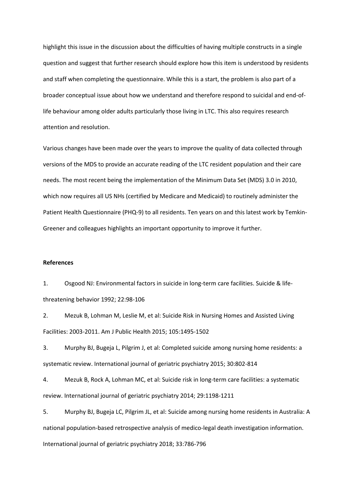highlight this issue in the discussion about the difficulties of having multiple constructs in a single question and suggest that further research should explore how this item is understood by residents and staff when completing the questionnaire. While this is a start, the problem is also part of a broader conceptual issue about how we understand and therefore respond to suicidal and end-oflife behaviour among older adults particularly those living in LTC. This also requires research attention and resolution.

Various changes have been made over the years to improve the quality of data collected through versions of the MDS to provide an accurate reading of the LTC resident population and their care needs. The most recent being the implementation of the Minimum Data Set (MDS) 3.0 in 2010, which now requires all US NHs (certified by Medicare and Medicaid) to routinely administer the Patient Health Questionnaire (PHQ-9) to all residents. Ten years on and this latest work by Temkin-Greener and colleagues highlights an important opportunity to improve it further.

## **References**

1. Osgood NJ: Environmental factors in suicide in long-term care facilities. Suicide & lifethreatening behavior 1992; 22:98-106

2. Mezuk B, Lohman M, Leslie M, et al: Suicide Risk in Nursing Homes and Assisted Living Facilities: 2003-2011. Am J Public Health 2015; 105:1495-1502

3. Murphy BJ, Bugeja L, Pilgrim J, et al: Completed suicide among nursing home residents: a systematic review. International journal of geriatric psychiatry 2015; 30:802-814

4. Mezuk B, Rock A, Lohman MC, et al: Suicide risk in long-term care facilities: a systematic review. International journal of geriatric psychiatry 2014; 29:1198-1211

5. Murphy BJ, Bugeja LC, Pilgrim JL, et al: Suicide among nursing home residents in Australia: A national population-based retrospective analysis of medico-legal death investigation information. International journal of geriatric psychiatry 2018; 33:786-796